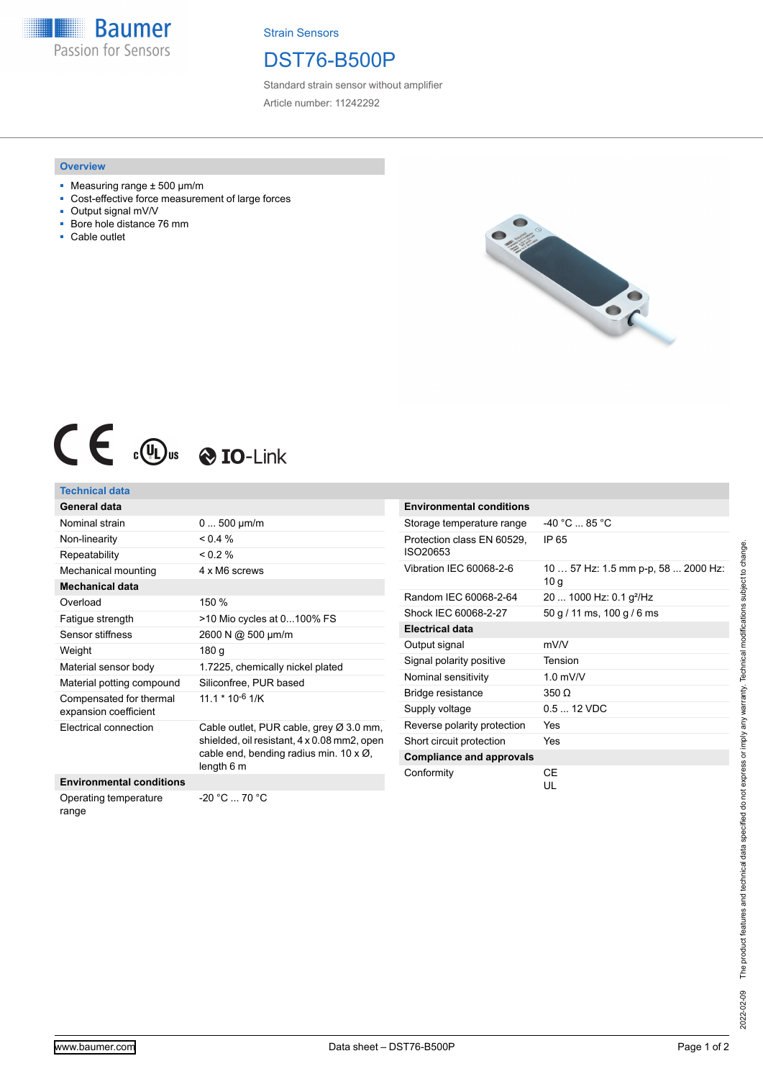**Baumer** Passion for Sensors

Strain Sensors

## DST76-B500P

Standard strain sensor without amplifier Article number: 11242292

#### **Overview**

- $\blacksquare$  Measuring range  $\pm$  500 µm/m
- Cost-effective force measurement of large forces
- Output signal mV/V<br>■ Bore hole distance
- Bore hole distance 76 mm
- Cable outlet



# $C \in \mathbb{C}$   $\mathbb{C}$   $\mathbb{C}$   $\mathbb{C}$   $\mathbb{C}$   $\mathbb{C}$   $\mathbb{C}$   $\mathbb{C}$   $\mathbb{C}$   $\mathbb{C}$   $\mathbb{C}$   $\mathbb{C}$   $\mathbb{C}$   $\mathbb{C}$   $\mathbb{C}$   $\mathbb{C}$   $\mathbb{C}$   $\mathbb{C}$   $\mathbb{C}$   $\mathbb{C}$   $\mathbb{C}$   $\mathbb{C}$   $\mathbb{C}$   $\mathbb{C}$   $\$

### **Technical data**

| General data                                     |                                                                                                                                                                   |
|--------------------------------------------------|-------------------------------------------------------------------------------------------------------------------------------------------------------------------|
| Nominal strain                                   | $0500 \mu m/m$                                                                                                                                                    |
| Non-linearity                                    | $< 0.4 \%$                                                                                                                                                        |
| Repeatability                                    | $0.2\%$                                                                                                                                                           |
| Mechanical mounting                              | 4 x M6 screws                                                                                                                                                     |
| <b>Mechanical data</b>                           |                                                                                                                                                                   |
| Overload                                         | 150 %                                                                                                                                                             |
| Fatigue strength                                 | >10 Mio cycles at 0100% FS                                                                                                                                        |
| Sensor stiffness                                 | 2600 N @ 500 µm/m                                                                                                                                                 |
| Weight                                           | 180 <sub>g</sub>                                                                                                                                                  |
| Material sensor body                             | 1.7225, chemically nickel plated                                                                                                                                  |
| Material potting compound                        | Siliconfree, PUR based                                                                                                                                            |
| Compensated for thermal<br>expansion coefficient | $11.1 * 10^{-6}$ 1/K                                                                                                                                              |
| Electrical connection                            | Cable outlet, PUR cable, grey $\varnothing$ 3.0 mm,<br>shielded, oil resistant, 4 x 0.08 mm2, open<br>cable end, bending radius min. 10 $\times$ Ø,<br>length 6 m |
| <b>Environmental conditions</b>                  |                                                                                                                                                                   |
| Operating temperature                            | -20 °C  70 °C                                                                                                                                                     |

| Storage temperature range              | $-40 °C$ 85 °C                                         |
|----------------------------------------|--------------------------------------------------------|
| Protection class EN 60529,<br>ISO20653 | IP 65                                                  |
| Vibration IEC 60068-2-6                | 10  57 Hz: 1.5 mm p-p, 58  2000 Hz:<br>10 <sub>g</sub> |
| Random IEC 60068-2-64                  | 20  1000 Hz: 0.1 $g^2$ /Hz                             |
| Shock IEC 60068-2-27                   | 50 g / 11 ms, 100 g / 6 ms                             |
| <b>Electrical data</b>                 |                                                        |
| Output signal                          | mV/V                                                   |
| Signal polarity positive               | Tension                                                |
| Nominal sensitivity                    | $1.0$ mV/V                                             |
| Bridge resistance                      | 350 Q                                                  |
| Supply voltage                         | $0.512$ VDC                                            |
| Reverse polarity protection            | Yes                                                    |
| Short circuit protection               | Yes                                                    |
| <b>Compliance and approvals</b>        |                                                        |
| Conformity                             | СE<br>UL                                               |

**Environmental conditions**

range